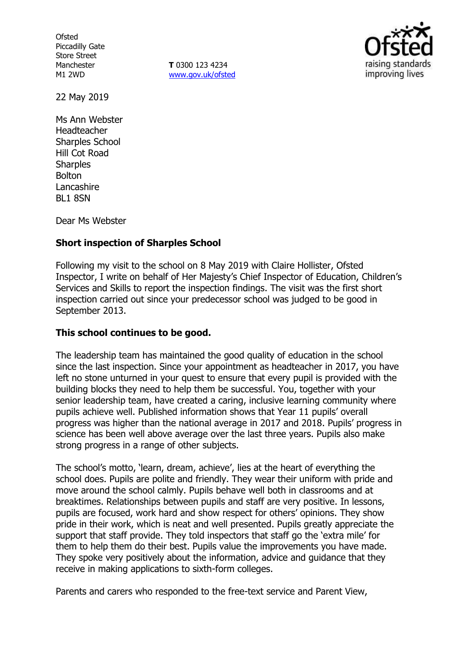**Ofsted** Piccadilly Gate Store Street Manchester M1 2WD

**T** 0300 123 4234 www.gov.uk/ofsted



22 May 2019

Ms Ann Webster Headteacher Sharples School Hill Cot Road **Sharples** Bolton Lancashire BL1 8SN

Dear Ms Webster

# **Short inspection of Sharples School**

Following my visit to the school on 8 May 2019 with Claire Hollister, Ofsted Inspector, I write on behalf of Her Majesty's Chief Inspector of Education, Children's Services and Skills to report the inspection findings. The visit was the first short inspection carried out since your predecessor school was judged to be good in September 2013.

# **This school continues to be good.**

The leadership team has maintained the good quality of education in the school since the last inspection. Since your appointment as headteacher in 2017, you have left no stone unturned in your quest to ensure that every pupil is provided with the building blocks they need to help them be successful. You, together with your senior leadership team, have created a caring, inclusive learning community where pupils achieve well. Published information shows that Year 11 pupils' overall progress was higher than the national average in 2017 and 2018. Pupils' progress in science has been well above average over the last three years. Pupils also make strong progress in a range of other subjects.

The school's motto, 'learn, dream, achieve', lies at the heart of everything the school does. Pupils are polite and friendly. They wear their uniform with pride and move around the school calmly. Pupils behave well both in classrooms and at breaktimes. Relationships between pupils and staff are very positive. In lessons, pupils are focused, work hard and show respect for others' opinions. They show pride in their work, which is neat and well presented. Pupils greatly appreciate the support that staff provide. They told inspectors that staff go the 'extra mile' for them to help them do their best. Pupils value the improvements you have made. They spoke very positively about the information, advice and guidance that they receive in making applications to sixth-form colleges.

Parents and carers who responded to the free-text service and Parent View,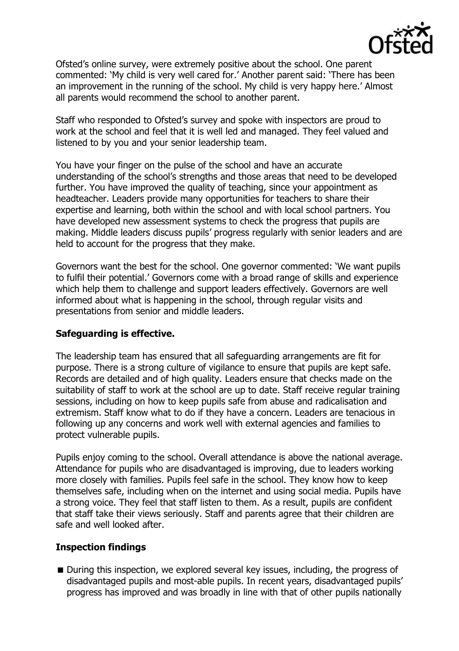

Ofsted's online survey, were extremely positive about the school. One parent commented: 'My child is very well cared for.' Another parent said: 'There has been an improvement in the running of the school. My child is very happy here.' Almost all parents would recommend the school to another parent.

Staff who responded to Ofsted's survey and spoke with inspectors are proud to work at the school and feel that it is well led and managed. They feel valued and listened to by you and your senior leadership team.

You have your finger on the pulse of the school and have an accurate understanding of the school's strengths and those areas that need to be developed further. You have improved the quality of teaching, since your appointment as headteacher. Leaders provide many opportunities for teachers to share their expertise and learning, both within the school and with local school partners. You have developed new assessment systems to check the progress that pupils are making. Middle leaders discuss pupils' progress regularly with senior leaders and are held to account for the progress that they make.

Governors want the best for the school. One governor commented: 'We want pupils to fulfil their potential.' Governors come with a broad range of skills and experience which help them to challenge and support leaders effectively. Governors are well informed about what is happening in the school, through regular visits and presentations from senior and middle leaders.

# **Safeguarding is effective.**

The leadership team has ensured that all safeguarding arrangements are fit for purpose. There is a strong culture of vigilance to ensure that pupils are kept safe. Records are detailed and of high quality. Leaders ensure that checks made on the suitability of staff to work at the school are up to date. Staff receive regular training sessions, including on how to keep pupils safe from abuse and radicalisation and extremism. Staff know what to do if they have a concern. Leaders are tenacious in following up any concerns and work well with external agencies and families to protect vulnerable pupils.

Pupils enjoy coming to the school. Overall attendance is above the national average. Attendance for pupils who are disadvantaged is improving, due to leaders working more closely with families. Pupils feel safe in the school. They know how to keep themselves safe, including when on the internet and using social media. Pupils have a strong voice. They feel that staff listen to them. As a result, pupils are confident that staff take their views seriously. Staff and parents agree that their children are safe and well looked after.

# **Inspection findings**

During this inspection, we explored several key issues, including, the progress of disadvantaged pupils and most-able pupils. In recent years, disadvantaged pupils' progress has improved and was broadly in line with that of other pupils nationally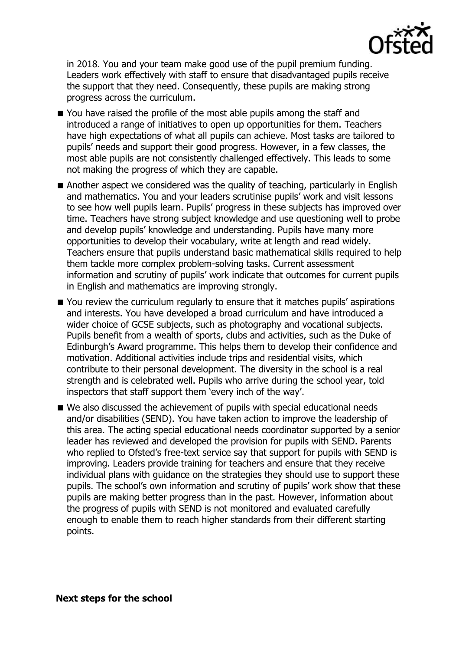

in 2018. You and your team make good use of the pupil premium funding. Leaders work effectively with staff to ensure that disadvantaged pupils receive the support that they need. Consequently, these pupils are making strong progress across the curriculum.

- You have raised the profile of the most able pupils among the staff and introduced a range of initiatives to open up opportunities for them. Teachers have high expectations of what all pupils can achieve. Most tasks are tailored to pupils' needs and support their good progress. However, in a few classes, the most able pupils are not consistently challenged effectively. This leads to some not making the progress of which they are capable.
- Another aspect we considered was the quality of teaching, particularly in English and mathematics. You and your leaders scrutinise pupils' work and visit lessons to see how well pupils learn. Pupils' progress in these subjects has improved over time. Teachers have strong subject knowledge and use questioning well to probe and develop pupils' knowledge and understanding. Pupils have many more opportunities to develop their vocabulary, write at length and read widely. Teachers ensure that pupils understand basic mathematical skills required to help them tackle more complex problem-solving tasks. Current assessment information and scrutiny of pupils' work indicate that outcomes for current pupils in English and mathematics are improving strongly.
- You review the curriculum regularly to ensure that it matches pupils' aspirations and interests. You have developed a broad curriculum and have introduced a wider choice of GCSE subjects, such as photography and vocational subjects. Pupils benefit from a wealth of sports, clubs and activities, such as the Duke of Edinburgh's Award programme. This helps them to develop their confidence and motivation. Additional activities include trips and residential visits, which contribute to their personal development. The diversity in the school is a real strength and is celebrated well. Pupils who arrive during the school year, told inspectors that staff support them 'every inch of the way'.
- We also discussed the achievement of pupils with special educational needs and/or disabilities (SEND). You have taken action to improve the leadership of this area. The acting special educational needs coordinator supported by a senior leader has reviewed and developed the provision for pupils with SEND. Parents who replied to Ofsted's free-text service say that support for pupils with SEND is improving. Leaders provide training for teachers and ensure that they receive individual plans with guidance on the strategies they should use to support these pupils. The school's own information and scrutiny of pupils' work show that these pupils are making better progress than in the past. However, information about the progress of pupils with SEND is not monitored and evaluated carefully enough to enable them to reach higher standards from their different starting points.